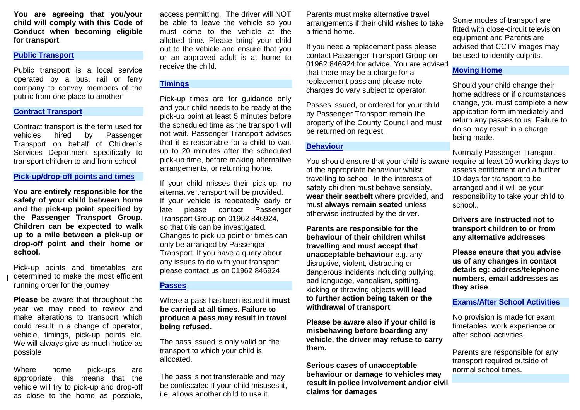**You are agreeing that you/your child will comply with this Code of Conduct when becoming eligible for transport**

#### **Public Transport**

Public transport is a local service operated by a bus, rail or ferry company to convey members of the public from one place to another

#### **Contract Transport**

Contract transport is the term used for<br>vehicles bired by Passenger vehicles hired by Passenger Transport on behalf of Children's Services Department specifically to transport children to and from school

#### **Pick-up/drop-off points and times**

**You are entirely responsible for the safety of your child between home and the pick-up point specified by the Passenger Transport Group. Children can be expected to walk up to a mile between a pick-up or drop-off point and their home or school.**

Pick-up points and timetables are determined to make the most efficient running order for the journey

**Please** be aware that throughout the year we may need to review and make alterations to transport which could result in a change of operator, vehicle, timings, pick-up points etc. We will always give as much notice as possible

Where home pick-ups are appropriate, this means that the vehicle will try to pick-up and drop-off as close to the home as possible,

access permitting. The driver will NOT be able to leave the vehicle so you must come to the vehicle at the allotted time. Please bring your child out to the vehicle and ensure that you or an approved adult is at home to receive the child.

# **Timings**

Pick-up times are for guidance only and your child needs to be ready at the pick-up point at least 5 minutes before the scheduled time as the transport will not wait. Passenger Transport advises that it is reasonable for a child to wait up to 20 minutes after the scheduled pick-up time, before making alternative arrangements, or returning home.

If your child misses their pick-up, no alternative transport will be provided. If your vehicle is repeatedly early or late please contact Passenger Transport Group on 01962 846924, so that this can be investigated. Changes to pick-up point or times can only be arranged by Passenger Transport. If you have a query about any issues to do with your transport please contact us on 01962 846924

## **Passes**

Where a pass has been issued it **must be carried at all times. Failure to produce a pass may result in travel being refused.**

The pass issued is only valid on the transport to which your child is allocated.

The pass is not transferable and may be confiscated if your child misuses it, i.e. allows another child to use it.

Parents must make alternative travel arrangements if their child wishes to take a friend home.

If you need a replacement pass please contact Passenger Transport Group on 01962 846924 for advice. You are advised that there may be a charge for a replacement pass and please note charges do vary subject to operator.

Passes issued, or ordered for your child by Passenger Transport remain the property of the County Council and must be returned on request.

## **Behaviour**

You should ensure that your child is aware of the appropriate behaviour whilst travelling to school. In the interests of safety children must behave sensibly, **wear their seatbelt** where provided, and must **always remain seated** unless otherwise instructed by the driver.

**Parents are responsible for the behaviour of their children whilst travelling and must accept that unacceptable behaviour** e.g. any disruptive, violent, distracting or dangerous incidents including bullying, bad language, vandalism, spitting, kicking or throwing objects **will lead to further action being taken or the withdrawal of transport**

**Please be aware also if your child is misbehaving before boarding any vehicle, the driver may refuse to carry them.** 

**Serious cases of unacceptable behaviour or damage to vehicles may result in police involvement and/or civil claims for damages**

Some modes of transport are fitted with close-circuit television equipment and Parents are advised that CCTV images may be used to identify culprits.

## **Moving Home**

Should your child change their home address or if circumstances change, you must complete a new application form immediately and return any passes to us. Failure to do so may result in a charge being made.

Normally Passenger Transport require at least 10 working days to assess entitlement and a further 10 days for transport to be arranged and it will be your responsibility to take your child to school..

**Drivers are instructed not to transport children to or from any alternative addresses**

**Please ensure that you advise us of any changes in contact details eg: address/telephone numbers, email addresses as they arise**.

#### **Exams/After School Activities**

No provision is made for exam timetables, work experience or after school activities.

Parents are responsible for any transport required outside of normal school times.